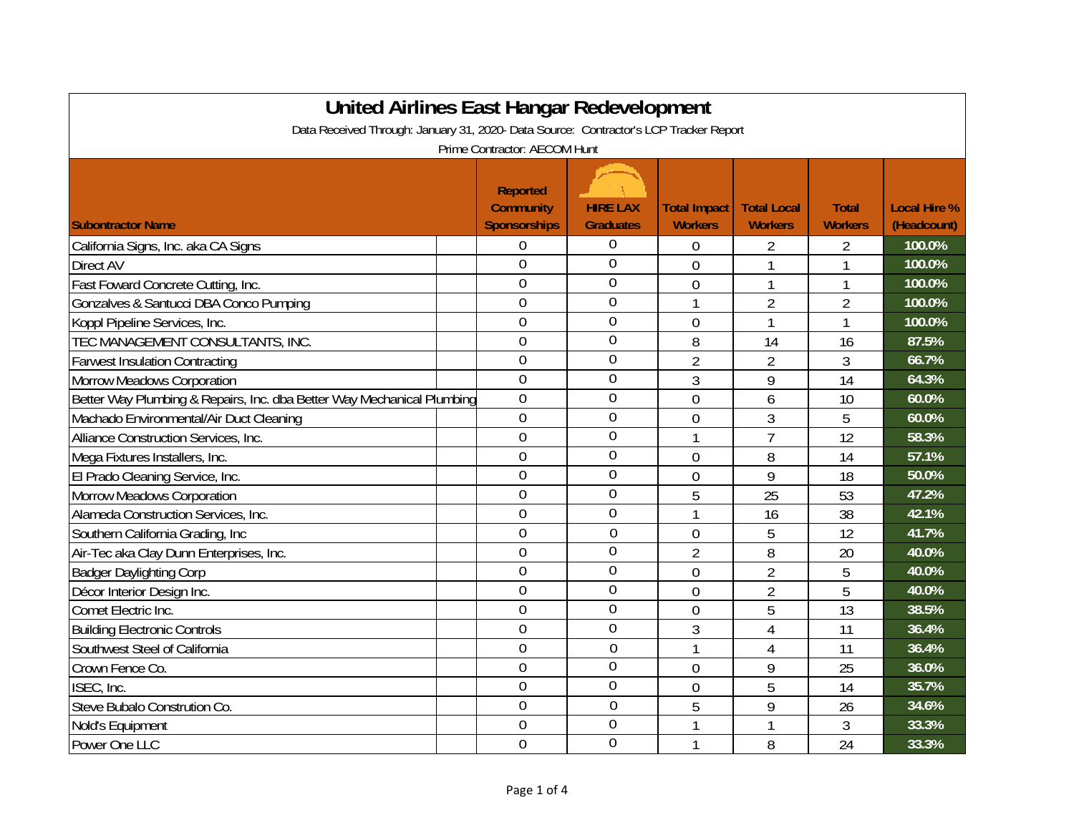| United Airlines East Hangar Redevelopment                                             |                                                            |                                     |                                       |                                      |                                |                                    |  |  |
|---------------------------------------------------------------------------------------|------------------------------------------------------------|-------------------------------------|---------------------------------------|--------------------------------------|--------------------------------|------------------------------------|--|--|
| Data Received Through: January 31, 2020- Data Source: Contractor's LCP Tracker Report |                                                            |                                     |                                       |                                      |                                |                                    |  |  |
| Prime Contractor: AECOM Hunt                                                          |                                                            |                                     |                                       |                                      |                                |                                    |  |  |
| <b>Subontractor Name</b>                                                              | <b>Reported</b><br><b>Community</b><br><b>Sponsorships</b> | <b>HIRE LAX</b><br><b>Graduates</b> | <b>Total Impact</b><br><b>Workers</b> | <b>Total Local</b><br><b>Workers</b> | <b>Total</b><br><b>Workers</b> | <b>Local Hire %</b><br>(Headcount) |  |  |
| California Signs, Inc. aka CA Signs                                                   | 0                                                          | $\overline{0}$                      | $\overline{0}$                        | $\overline{2}$                       | 2                              | 100.0%                             |  |  |
| Direct AV                                                                             | $\overline{0}$                                             | $\overline{0}$                      | $\overline{0}$                        |                                      |                                | 100.0%                             |  |  |
| Fast Foward Concrete Cutting, Inc.                                                    | $\overline{0}$                                             | $\overline{0}$                      | $\overline{0}$                        | 1                                    |                                | 100.0%                             |  |  |
| Gonzalves & Santucci DBA Conco Pumping                                                | $\overline{0}$                                             | $\overline{0}$                      | 1                                     | $\overline{2}$                       | $\overline{2}$                 | 100.0%                             |  |  |
| Koppl Pipeline Services, Inc.                                                         | $\overline{0}$                                             | $\overline{0}$                      | $\overline{0}$                        | 1                                    | 1                              | 100.0%                             |  |  |
| TEC MANAGEMENT CONSULTANTS, INC.                                                      | $\overline{0}$                                             | $\overline{0}$                      | 8                                     | 14                                   | 16                             | 87.5%                              |  |  |
| <b>Farwest Insulation Contracting</b>                                                 | $\overline{0}$                                             | $\overline{0}$                      | $\overline{2}$                        | $\overline{2}$                       | 3                              | 66.7%                              |  |  |
| <b>Morrow Meadows Corporation</b>                                                     | $\overline{0}$                                             | $\mathbf 0$                         | 3                                     | 9                                    | 14                             | 64.3%                              |  |  |
| Better Way Plumbing & Repairs, Inc. dba Better Way Mechanical Plumbing                | $\overline{0}$                                             | 0                                   | $\overline{0}$                        | 6                                    | 10                             | 60.0%                              |  |  |
| Machado Environmental/Air Duct Cleaning                                               | $\overline{0}$                                             | 0                                   | $\overline{0}$                        | 3                                    | 5                              | 60.0%                              |  |  |
| Alliance Construction Services, Inc.                                                  | $\overline{0}$                                             | $\mathbf 0$                         | $\mathbf{1}$                          | $\overline{7}$                       | 12                             | 58.3%                              |  |  |
| Mega Fixtures Installers, Inc.                                                        | $\overline{0}$                                             | $\overline{0}$                      | $\overline{0}$                        | 8                                    | 14                             | 57.1%                              |  |  |
| El Prado Cleaning Service, Inc.                                                       | $\overline{0}$                                             | $\mathbf 0$                         | $\overline{0}$                        | 9                                    | 18                             | 50.0%                              |  |  |
| <b>Morrow Meadows Corporation</b>                                                     | $\overline{0}$                                             | $\overline{0}$                      | 5                                     | 25                                   | 53                             | 47.2%                              |  |  |
| Alameda Construction Services, Inc.                                                   | $\overline{0}$                                             | $\overline{0}$                      | 1                                     | 16                                   | 38                             | 42.1%                              |  |  |
| Southern California Grading, Inc.                                                     | $\overline{0}$                                             | $\overline{0}$                      | $\overline{0}$                        | 5                                    | 12                             | 41.7%                              |  |  |
| Air-Tec aka Clay Dunn Enterprises, Inc.                                               | $\overline{0}$                                             | $\mathbf 0$                         | $\overline{2}$                        | 8                                    | 20                             | 40.0%                              |  |  |
| <b>Badger Daylighting Corp</b>                                                        | $\overline{0}$                                             | $\theta$                            | $\overline{0}$                        | $\overline{2}$                       | 5                              | 40.0%                              |  |  |
| Décor Interior Design Inc.                                                            | $\overline{0}$                                             | $\overline{0}$                      | $\mathbf 0$                           | $\overline{2}$                       | 5                              | 40.0%                              |  |  |
| Comet Electric Inc.                                                                   | $\overline{0}$                                             | $\overline{0}$                      | $\overline{0}$                        | 5                                    | 13                             | 38.5%                              |  |  |
| <b>Building Electronic Controls</b>                                                   | $\mathbf 0$                                                | $\overline{0}$                      | 3                                     | $\overline{4}$                       | 11                             | 36.4%                              |  |  |
| Southwest Steel of California                                                         | $\overline{0}$                                             | $\overline{0}$                      | 1                                     | $\overline{4}$                       | 11                             | 36.4%                              |  |  |
| Crown Fence Co.                                                                       | $\theta$                                                   | $\overline{0}$                      | $\overline{0}$                        | 9                                    | 25                             | 36.0%                              |  |  |
| ISEC, Inc.                                                                            | $\overline{0}$                                             | $\overline{0}$                      | $\mathbf 0$                           | 5                                    | 14                             | 35.7%                              |  |  |
| Steve Bubalo Constrution Co.                                                          | $\overline{0}$                                             | $\overline{0}$                      | 5                                     | 9                                    | 26                             | 34.6%                              |  |  |
| Nold's Equipment                                                                      | $\overline{0}$                                             | $\overline{0}$                      | 1                                     |                                      | 3                              | 33.3%                              |  |  |
| Power One LLC                                                                         | $\overline{0}$                                             | $\overline{0}$                      | 1                                     | 8                                    | 24                             | 33.3%                              |  |  |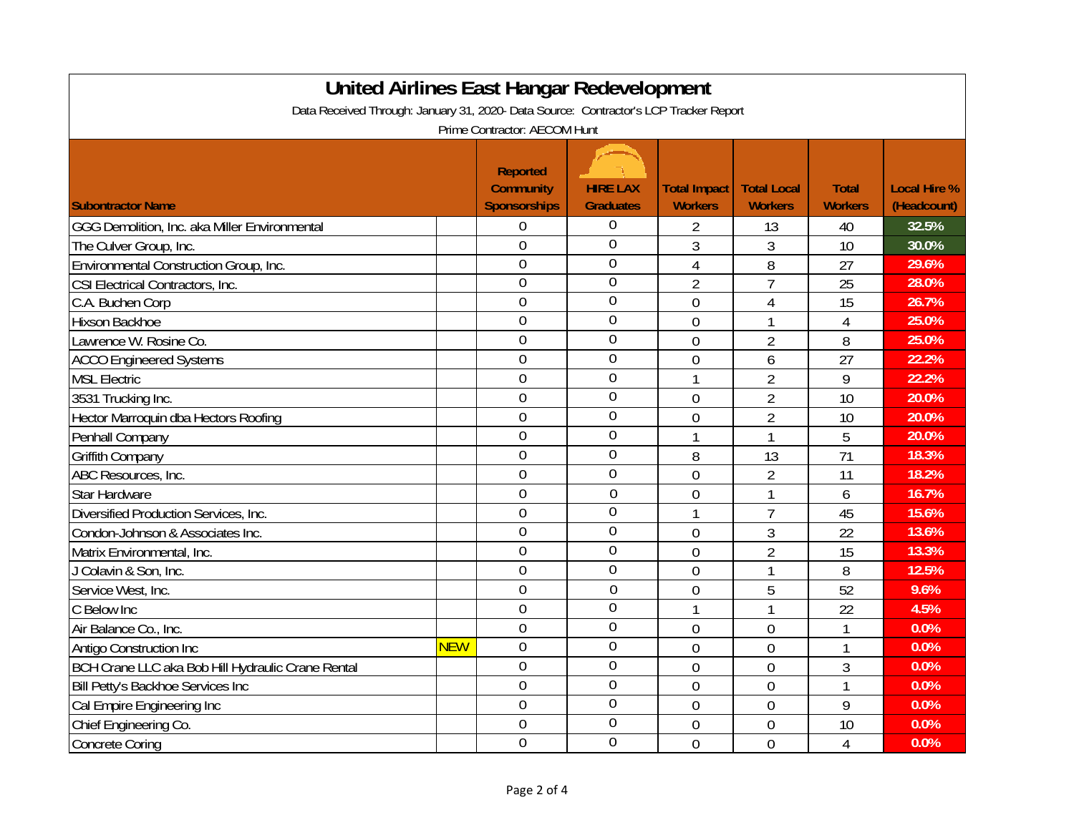| <b>United Airlines East Hangar Redevelopment</b>                                      |            |                     |                  |                     |                    |                |                     |  |
|---------------------------------------------------------------------------------------|------------|---------------------|------------------|---------------------|--------------------|----------------|---------------------|--|
| Data Received Through: January 31, 2020- Data Source: Contractor's LCP Tracker Report |            |                     |                  |                     |                    |                |                     |  |
| Prime Contractor: AECOM Hunt                                                          |            |                     |                  |                     |                    |                |                     |  |
|                                                                                       |            |                     |                  |                     |                    |                |                     |  |
|                                                                                       |            | <b>Reported</b>     |                  |                     |                    |                |                     |  |
|                                                                                       |            | <b>Community</b>    | <b>HIRE LAX</b>  | <b>Total Impact</b> | <b>Total Local</b> | <b>Total</b>   | <b>Local Hire %</b> |  |
| <b>Subontractor Name</b>                                                              |            | <b>Sponsorships</b> | <b>Graduates</b> | <b>Workers</b>      | <b>Workers</b>     | <b>Workers</b> | (Headcount)         |  |
| GGG Demolition, Inc. aka Miller Environmental                                         |            | $\overline{0}$      | $\mathbf 0$      | 2                   | 13                 | 40             | 32.5%               |  |
| The Culver Group, Inc.                                                                |            | $\overline{0}$      | $\overline{0}$   | 3                   | 3                  | 10             | 30.0%               |  |
| Environmental Construction Group, Inc.                                                |            | $\overline{0}$      | $\overline{0}$   | $\overline{4}$      | 8                  | 27             | 29.6%               |  |
| CSI Electrical Contractors, Inc.                                                      |            | $\overline{0}$      | $\theta$         | 2                   | 7                  | 25             | 28.0%               |  |
| C.A. Buchen Corp                                                                      |            | $\overline{0}$      | $\overline{0}$   | $\overline{0}$      | $\overline{4}$     | 15             | 26.7%               |  |
| Hixson Backhoe                                                                        |            | $\mathbf 0$         | $\overline{0}$   | $\overline{0}$      | 1                  | $\overline{4}$ | 25.0%               |  |
| Lawrence W. Rosine Co.                                                                |            | $\mathbf 0$         | $\overline{0}$   | $\overline{0}$      | $\overline{2}$     | 8              | 25.0%               |  |
| <b>ACCO Engineered Systems</b>                                                        |            | $\overline{0}$      | $\overline{0}$   | $\mathbf 0$         | 6                  | 27             | 22.2%               |  |
| <b>MSL Electric</b>                                                                   |            | $\theta$            | $\overline{0}$   | 1                   | $\overline{2}$     | 9              | 22.2%               |  |
| 3531 Trucking Inc.                                                                    |            | $\theta$            | $\overline{0}$   | $\overline{0}$      | $\overline{2}$     | 10             | 20.0%               |  |
| Hector Marroquin dba Hectors Roofing                                                  |            | $\theta$            | $\overline{0}$   | $\overline{0}$      | $\overline{2}$     | 10             | 20.0%               |  |
| Penhall Company                                                                       |            | $\theta$            | $\overline{0}$   | 1                   | $\mathbf{1}$       | 5              | 20.0%               |  |
| <b>Griffith Company</b>                                                               |            | $\theta$            | $\theta$         | 8                   | 13                 | 71             | 18.3%               |  |
| ABC Resources, Inc.                                                                   |            | $\theta$            | $\overline{0}$   | $\overline{0}$      | $\overline{2}$     | 11             | 18.2%               |  |
| Star Hardware                                                                         |            | $\overline{0}$      | $\overline{0}$   | $\mathbf 0$         | $\mathbf{1}$       | 6              | 16.7%               |  |
| Diversified Production Services, Inc.                                                 |            | $\overline{0}$      | $\overline{0}$   | 1                   | $\overline{7}$     | 45             | 15.6%               |  |
| Condon-Johnson & Associates Inc.                                                      |            | $\overline{0}$      | $\overline{0}$   | $\overline{0}$      | $\mathfrak{Z}$     | 22             | 13.6%               |  |
| Matrix Environmental, Inc.                                                            |            | $\overline{0}$      | $\overline{0}$   | $\overline{0}$      | 2                  | 15             | 13.3%               |  |
| J Colavin & Son, Inc.                                                                 |            | $\overline{0}$      | $\overline{0}$   | $\overline{0}$      | 1                  | 8              | 12.5%               |  |
| Service West, Inc.                                                                    |            | $\overline{0}$      | $\overline{0}$   | $\overline{0}$      | 5                  | 52             | 9.6%                |  |
| C Below Inc                                                                           |            | $\theta$            | $\overline{0}$   | 1                   | 1                  | 22             | 4.5%                |  |
| Air Balance Co., Inc.                                                                 |            | $\overline{0}$      | $\overline{0}$   | $\overline{0}$      | $\overline{0}$     | 1              | 0.0%                |  |
| Antigo Construction Inc                                                               | <b>NEW</b> | $\overline{0}$      | $\overline{0}$   | $\overline{0}$      | $\overline{0}$     | $\overline{1}$ | 0.0%                |  |
| BCH Crane LLC aka Bob Hill Hydraulic Crane Rental                                     |            | $\overline{0}$      | $\overline{0}$   | $\overline{0}$      | $\overline{0}$     | 3              | 0.0%                |  |
| Bill Petty's Backhoe Services Inc                                                     |            | $\overline{0}$      | $\overline{0}$   | $\overline{0}$      | $\overline{0}$     | 1              | 0.0%                |  |
| Cal Empire Engineering Inc                                                            |            | $\overline{0}$      | $\overline{0}$   | $\overline{0}$      | $\overline{0}$     | 9              | 0.0%                |  |
| Chief Engineering Co.                                                                 |            | $\overline{0}$      | $\theta$         | $\overline{0}$      | $\mathbf 0$        | 10             | 0.0%                |  |
| <b>Concrete Coring</b>                                                                |            | $\overline{0}$      | $\overline{0}$   | $\overline{0}$      | $\overline{0}$     | $\overline{4}$ | 0.0%                |  |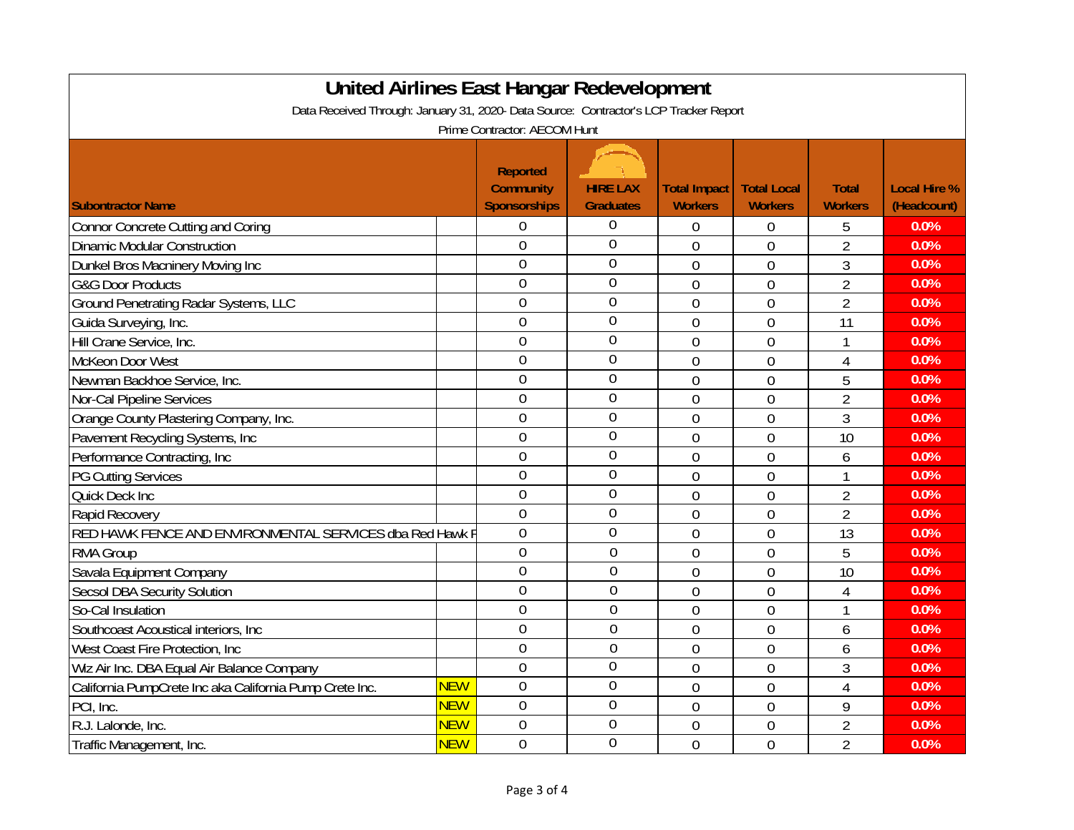| <b>United Airlines East Hangar Redevelopment</b>                                      |            |                     |                  |                     |                    |                |                     |  |
|---------------------------------------------------------------------------------------|------------|---------------------|------------------|---------------------|--------------------|----------------|---------------------|--|
| Data Received Through: January 31, 2020- Data Source: Contractor's LCP Tracker Report |            |                     |                  |                     |                    |                |                     |  |
| Prime Contractor: AECOM Hunt                                                          |            |                     |                  |                     |                    |                |                     |  |
|                                                                                       |            |                     |                  |                     |                    |                |                     |  |
|                                                                                       |            | <b>Reported</b>     |                  |                     |                    |                |                     |  |
|                                                                                       |            | <b>Community</b>    | <b>HIRE LAX</b>  | <b>Total Impact</b> | <b>Total Local</b> | <b>Total</b>   | <b>Local Hire %</b> |  |
| <b>Subontractor Name</b>                                                              |            | <b>Sponsorships</b> | <b>Graduates</b> | <b>Workers</b>      | <b>Workers</b>     | <b>Workers</b> | (Headcount)         |  |
| <b>Connor Concrete Cutting and Coring</b>                                             |            | $\theta$            | $\mathbf 0$      | $\overline{0}$      | $\overline{0}$     | 5              | 0.0%                |  |
| <b>Dinamic Modular Construction</b>                                                   |            | $\theta$            | $\overline{0}$   | $\overline{0}$      | $\overline{0}$     | $\overline{2}$ | 0.0%                |  |
| Dunkel Bros Macninery Moving Inc                                                      |            | $\overline{0}$      | $\overline{0}$   | $\overline{0}$      | $\overline{0}$     | 3              | 0.0%                |  |
| <b>G&amp;G Door Products</b>                                                          |            | $\overline{0}$      | $\overline{0}$   | $\overline{0}$      | $\overline{0}$     | $\overline{2}$ | 0.0%                |  |
| Ground Penetrating Radar Systems, LLC                                                 |            | $\overline{0}$      | $\overline{0}$   | $\overline{0}$      | $\overline{0}$     | $\overline{2}$ | 0.0%                |  |
| Guida Surveying, Inc.                                                                 |            | $\overline{0}$      | $\mathbf 0$      | $\overline{0}$      | $\overline{0}$     | 11             | 0.0%                |  |
| Hill Crane Service, Inc.                                                              |            | $\overline{0}$      | $\overline{0}$   | $\mathbf 0$         | $\overline{0}$     | $\mathbf{1}$   | 0.0%                |  |
| McKeon Door West                                                                      |            | $\overline{0}$      | $\overline{0}$   | $\overline{0}$      | $\overline{0}$     | $\overline{4}$ | 0.0%                |  |
| Newman Backhoe Service, Inc.                                                          |            | $\overline{0}$      | $\overline{0}$   | $\overline{0}$      | $\overline{0}$     | 5              | 0.0%                |  |
| Nor-Cal Pipeline Services                                                             |            | $\overline{0}$      | $\overline{0}$   | $\overline{0}$      | $\overline{0}$     | $\overline{2}$ | 0.0%                |  |
| Orange County Plastering Company, Inc.                                                |            | $\overline{0}$      | $\overline{0}$   | $\overline{0}$      | $\overline{0}$     | 3              | 0.0%                |  |
| Pavement Recycling Systems, Inc                                                       |            | $\overline{0}$      | $\overline{0}$   | $\overline{0}$      | $\overline{0}$     | 10             | 0.0%                |  |
| Performance Contracting, Inc                                                          |            | $\overline{0}$      | $\overline{0}$   | $\overline{0}$      | $\overline{0}$     | 6              | 0.0%                |  |
| <b>PG Cutting Services</b>                                                            |            | $\overline{0}$      | $\overline{0}$   | $\overline{0}$      | $\overline{0}$     | $\mathbf{1}$   | 0.0%                |  |
| Quick Deck Inc                                                                        |            | $\overline{0}$      | $\overline{0}$   | $\overline{0}$      | $\overline{0}$     | $\overline{2}$ | 0.0%                |  |
| <b>Rapid Recovery</b>                                                                 |            | $\overline{0}$      | $\overline{0}$   | $\mathbf 0$         | $\overline{0}$     | $\overline{2}$ | 0.0%                |  |
| RED HAWK FENCE AND ENVIRONMENTAL SERVICES dba Red Hawk F                              |            | $\overline{0}$      | $\overline{0}$   | $\overline{0}$      | $\overline{0}$     | 13             | 0.0%                |  |
| RMA Group                                                                             |            | $\overline{0}$      | $\overline{0}$   | $\mathbf 0$         | $\overline{0}$     | 5              | 0.0%                |  |
| Savala Equipment Company                                                              |            | $\overline{0}$      | $\overline{0}$   | $\overline{0}$      | $\overline{0}$     | 10             | 0.0%                |  |
| <b>Secsol DBA Security Solution</b>                                                   |            | $\overline{0}$      | $\overline{0}$   | $\overline{0}$      | $\overline{0}$     | $\overline{4}$ | 0.0%                |  |
| So-Cal Insulation                                                                     |            | $\overline{0}$      | $\overline{0}$   | $\overline{0}$      | $\overline{0}$     | $\mathbf{1}$   | 0.0%                |  |
| Southcoast Acoustical interiors, Inc.                                                 |            | $\overline{0}$      | $\overline{0}$   | $\mathbf 0$         | $\overline{0}$     | 6              | 0.0%                |  |
| West Coast Fire Protection, Inc                                                       |            | $\overline{0}$      | $\overline{0}$   | $\overline{0}$      | $\overline{0}$     | 6              | 0.0%                |  |
| Wiz Air Inc. DBA Equal Air Balance Company                                            |            | $\overline{0}$      | $\overline{0}$   | $\overline{0}$      | $\overline{0}$     | 3              | 0.0%                |  |
| California PumpCrete Inc aka California Pump Crete Inc.                               | <b>NEW</b> | $\overline{0}$      | $\mathbf 0$      | $\mathbf 0$         | $\overline{0}$     | $\overline{4}$ | 0.0%                |  |
| PCI, Inc.                                                                             | <b>NEW</b> | $\overline{0}$      | $\overline{0}$   | $\overline{0}$      | $\overline{0}$     | 9              | 0.0%                |  |
| R.J. Lalonde, Inc.                                                                    | <b>NEW</b> | $\overline{0}$      | $\overline{0}$   | $\mathbf 0$         | $\overline{0}$     | $\overline{2}$ | 0.0%                |  |
| Traffic Management, Inc.                                                              | <b>NEW</b> | $\overline{0}$      | $\overline{0}$   | $\overline{0}$      | $\overline{0}$     | $\overline{2}$ | 0.0%                |  |